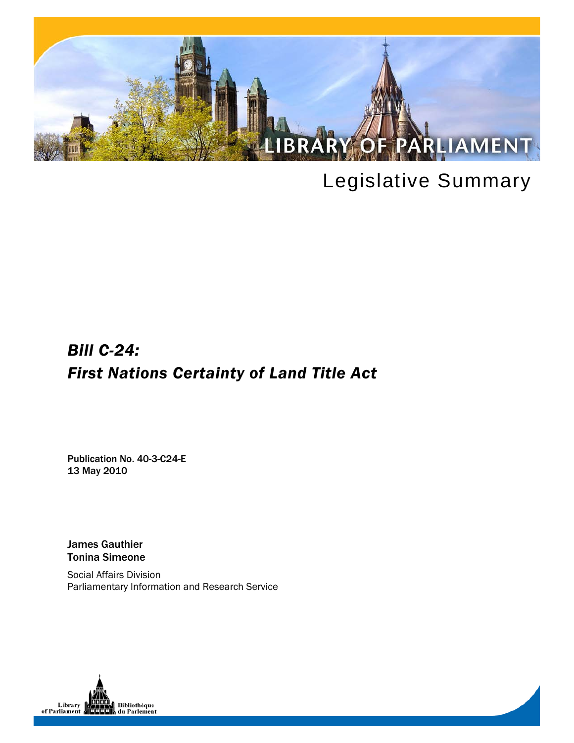

# Legislative Summary

## *Bill C-24: First Nations Certainty of Land Title Act*

Publication No. 40-3-C24-E 13 May 2010

James Gauthier Tonina Simeone

Social Affairs Division Parliamentary Information and Research Service

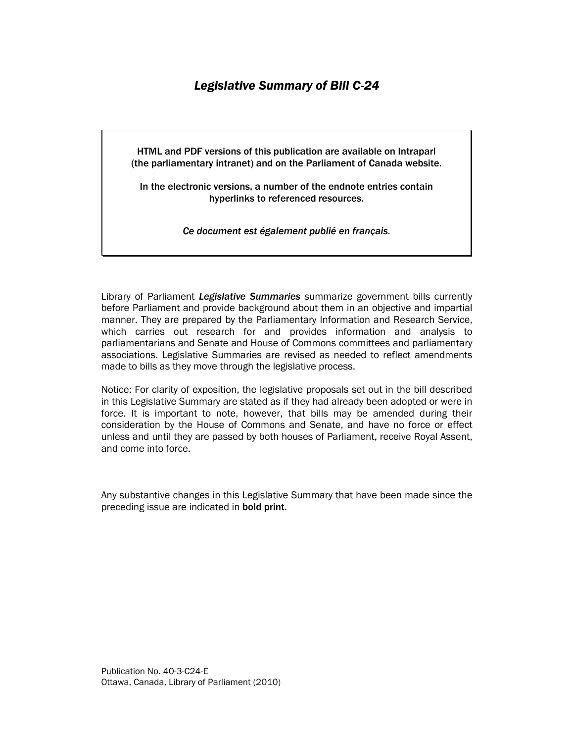## *Legislative Summary of Bill C-24*

HTML and PDF versions of this publication are available on Intraparl (the parliamentary intranet) and on the Parliament of Canada website.

In the electronic versions, a number of the endnote entries contain hyperlinks to referenced resources.

*Ce document est également publié en français.*

Library of Parliament *Legislative Summaries* summarize government bills currently before Parliament and provide background about them in an objective and impartial manner. They are prepared by the Parliamentary Information and Research Service, which carries out research for and provides information and analysis to parliamentarians and Senate and House of Commons committees and parliamentary associations. Legislative Summaries are revised as needed to reflect amendments made to bills as they move through the legislative process.

Notice: For clarity of exposition, the legislative proposals set out in the bill described in this Legislative Summary are stated as if they had already been adopted or were in force. It is important to note, however, that bills may be amended during their consideration by the House of Commons and Senate, and have no force or effect unless and until they are passed by both houses of Parliament, receive Royal Assent, and come into force.

Any substantive changes in this Legislative Summary that have been made since the preceding issue are indicated in bold print.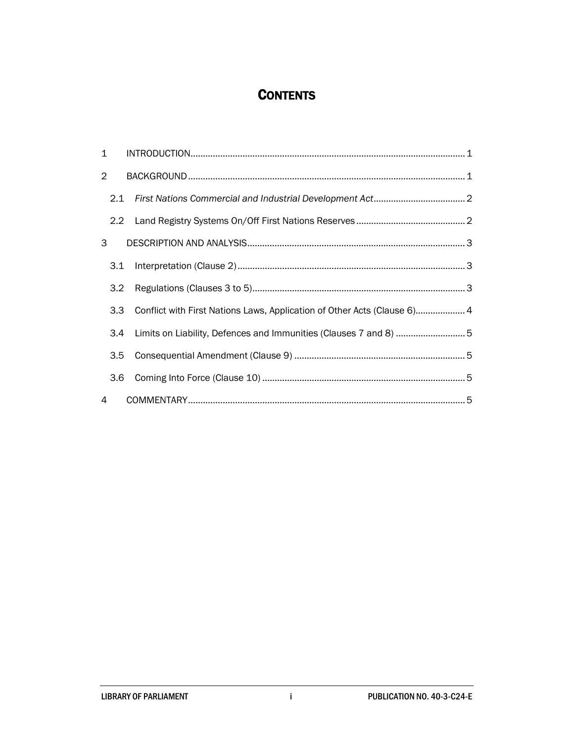## **CONTENTS**

| $\mathbf{1}$     |                                                                          |
|------------------|--------------------------------------------------------------------------|
| $\overline{2}$   |                                                                          |
| 2.1              |                                                                          |
| $2.2\phantom{0}$ |                                                                          |
| 3                |                                                                          |
| 3.1              |                                                                          |
| 3.2              |                                                                          |
| 3.3 <sub>2</sub> | Conflict with First Nations Laws, Application of Other Acts (Clause 6) 4 |
| 3.4              | Limits on Liability, Defences and Immunities (Clauses 7 and 8) 5         |
| 3.5              |                                                                          |
| 3.6              |                                                                          |
| 4                |                                                                          |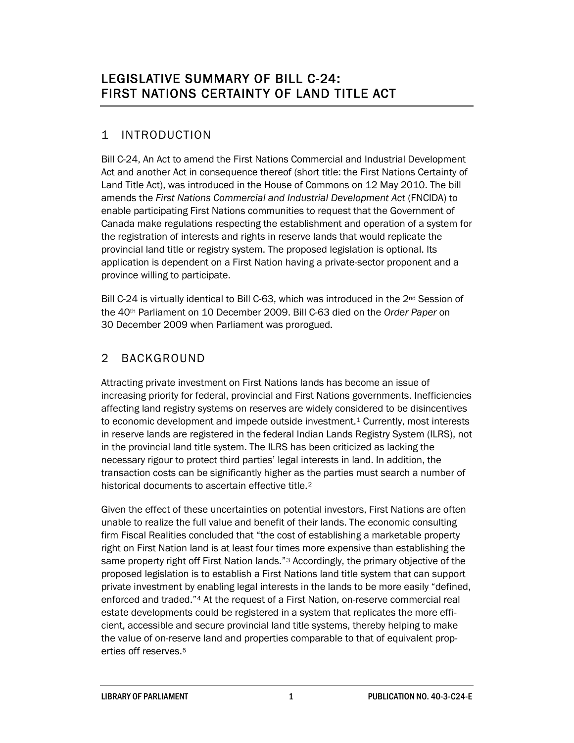## 1 INTRODUCTION

Bill C-24, An Act to amend the First Nations Commercial and Industrial Development Act and another Act in consequence thereof (short title: the First Nations Certainty of Land Title Act), was introduced in the House of Commons on 12 May 2010. The bill amends the *First Nations Commercial and Industrial Development Act* (FNCIDA) to enable participating First Nations communities to request that the Government of Canada make regulations respecting the establishment and operation of a system for the registration of interests and rights in reserve lands that would replicate the provincial land title or registry system. The proposed legislation is optional. Its application is dependent on a First Nation having a private-sector proponent and a province willing to participate.

Bill C-24 is virtually identical to Bill C-63, which was introduced in the 2nd Session of the 40th Parliament on 10 December 2009. Bill C-63 died on the *Order Paper* on 30 December 2009 when Parliament was prorogued.

## 2 BACKGROUND

Attracting private investment on First Nations lands has become an issue of increasing priority for federal, provincial and First Nations governments. Inefficiencies affecting land registry systems on reserves are widely considered to be disincentives to economic development and impede outside investment.<sup>[1](#page-9-0)</sup> Currently, most interests in reserve lands are registered in the federal Indian Lands Registry System (ILRS), not in the provincial land title system. The ILRS has been criticized as lacking the necessary rigour to protect third parties' legal interests in land. In addition, the transaction costs can be significantly higher as the parties must search a number of historical documents to ascertain effective title.<sup>[2](#page-9-1)</sup>

Given the effect of these uncertainties on potential investors, First Nations are often unable to realize the full value and benefit of their lands. The economic consulting firm Fiscal Realities concluded that "the cost of establishing a marketable property right on First Nation land is at least four times more expensive than establishing the same property right off First Nation lands."[3](#page-9-2) Accordingly, the primary objective of the proposed legislation is to establish a First Nations land title system that can support private investment by enabling legal interests in the lands to be more easily "defined, enforced and traded.["4](#page-9-3) At the request of a First Nation, on-reserve commercial real estate developments could be registered in a system that replicates the more efficient, accessible and secure provincial land title systems, thereby helping to make the value of on-reserve land and properties comparable to that of equivalent properties off reserves.[5](#page-9-4)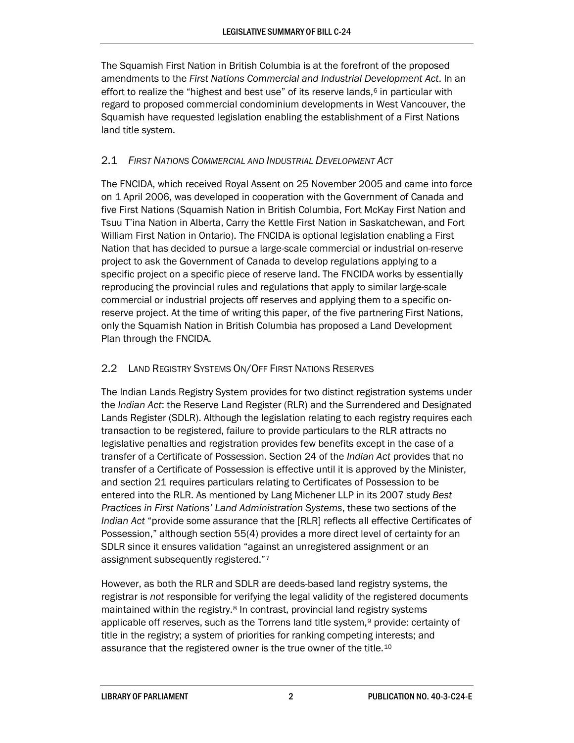The Squamish First Nation in British Columbia is at the forefront of the proposed amendments to the *First Nations Commercial and Industrial Development Act*. In an effort to realize the "highest and best use" of its reserve lands,<sup>[6](#page-9-5)</sup> in particular with regard to proposed commercial condominium developments in West Vancouver, the Squamish have requested legislation enabling the establishment of a First Nations land title system.

#### 2.1 *FIRST NATIONS COMMERCIAL AND INDUSTRIAL DEVELOPMENT ACT*

The FNCIDA, which received Royal Assent on 25 November 2005 and came into force on 1 April 2006, was developed in cooperation with the Government of Canada and five First Nations (Squamish Nation in British Columbia, Fort McKay First Nation and Tsuu T'ina Nation in Alberta, Carry the Kettle First Nation in Saskatchewan, and Fort William First Nation in Ontario). The FNCIDA is optional legislation enabling a First Nation that has decided to pursue a large-scale commercial or industrial on-reserve project to ask the Government of Canada to develop regulations applying to a specific project on a specific piece of reserve land. The FNCIDA works by essentially reproducing the provincial rules and regulations that apply to similar large-scale commercial or industrial projects off reserves and applying them to a specific onreserve project. At the time of writing this paper, of the five partnering First Nations, only the Squamish Nation in British Columbia has proposed a Land Development Plan through the FNCIDA.

#### 2.2 LAND REGISTRY SYSTEMS ON/OFF FIRST NATIONS RESERVES

The Indian Lands Registry System provides for two distinct registration systems under the *Indian Act*: the Reserve Land Register (RLR) and the Surrendered and Designated Lands Register (SDLR). Although the legislation relating to each registry requires each transaction to be registered, failure to provide particulars to the RLR attracts no legislative penalties and registration provides few benefits except in the case of a transfer of a Certificate of Possession. Section 24 of the *Indian Act* provides that no transfer of a Certificate of Possession is effective until it is approved by the Minister, and section 21 requires particulars relating to Certificates of Possession to be entered into the RLR. As mentioned by Lang Michener LLP in its 2007 study *Best Practices in First Nations' Land Administration Systems*, these two sections of the *Indian Act* "provide some assurance that the [RLR] reflects all effective Certificates of Possession," although section 55(4) provides a more direct level of certainty for an SDLR since it ensures validation "against an unregistered assignment or an assignment subsequently registered."[7](#page-9-6)

However, as both the RLR and SDLR are deeds-based land registry systems, the registrar is *not* responsible for verifying the legal validity of the registered documents maintained within the registry.<sup>[8](#page-9-7)</sup> In contrast, provincial land registry systems applicable off reserves, such as the Torrens land title system,<sup>[9](#page-9-8)</sup> provide: certainty of title in the registry; a system of priorities for ranking competing interests; and assurance that the registered owner is the true owner of the title.[10](#page-9-9)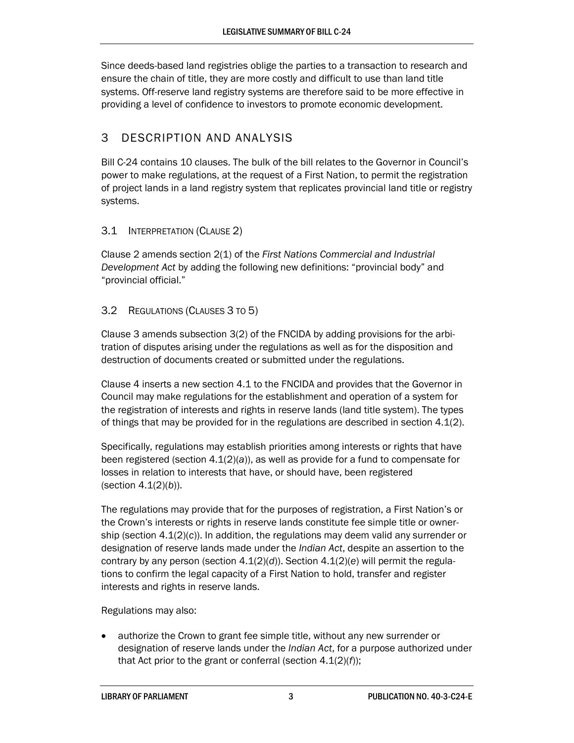Since deeds-based land registries oblige the parties to a transaction to research and ensure the chain of title, they are more costly and difficult to use than land title systems. Off-reserve land registry systems are therefore said to be more effective in providing a level of confidence to investors to promote economic development.

## 3 DESCRIPTION AND ANALYSIS

Bill C-24 contains 10 clauses. The bulk of the bill relates to the Governor in Council's power to make regulations, at the request of a First Nation, to permit the registration of project lands in a land registry system that replicates provincial land title or registry systems.

#### 3.1 INTERPRETATION (CLAUSE 2)

Clause 2 amends section 2(1) of the *First Nations Commercial and Industrial Development Act* by adding the following new definitions: "provincial body" and "provincial official."

#### 3.2 REGULATIONS (CLAUSES 3 TO 5)

Clause 3 amends subsection 3(2) of the FNCIDA by adding provisions for the arbitration of disputes arising under the regulations as well as for the disposition and destruction of documents created or submitted under the regulations.

Clause 4 inserts a new section 4.1 to the FNCIDA and provides that the Governor in Council may make regulations for the establishment and operation of a system for the registration of interests and rights in reserve lands (land title system). The types of things that may be provided for in the regulations are described in section 4.1(2).

Specifically, regulations may establish priorities among interests or rights that have been registered (section 4.1(2)(*a*)), as well as provide for a fund to compensate for losses in relation to interests that have, or should have, been registered (section 4.1(2)(*b*)).

The regulations may provide that for the purposes of registration, a First Nation's or the Crown's interests or rights in reserve lands constitute fee simple title or ownership (section 4.1(2)(*c*)). In addition, the regulations may deem valid any surrender or designation of reserve lands made under the *Indian Act*, despite an assertion to the contrary by any person (section 4.1(2)(*d*)). Section 4.1(2)(*e*) will permit the regulations to confirm the legal capacity of a First Nation to hold, transfer and register interests and rights in reserve lands.

Regulations may also:

• authorize the Crown to grant fee simple title, without any new surrender or designation of reserve lands under the *Indian Act*, for a purpose authorized under that Act prior to the grant or conferral (section 4.1(2)(*f*));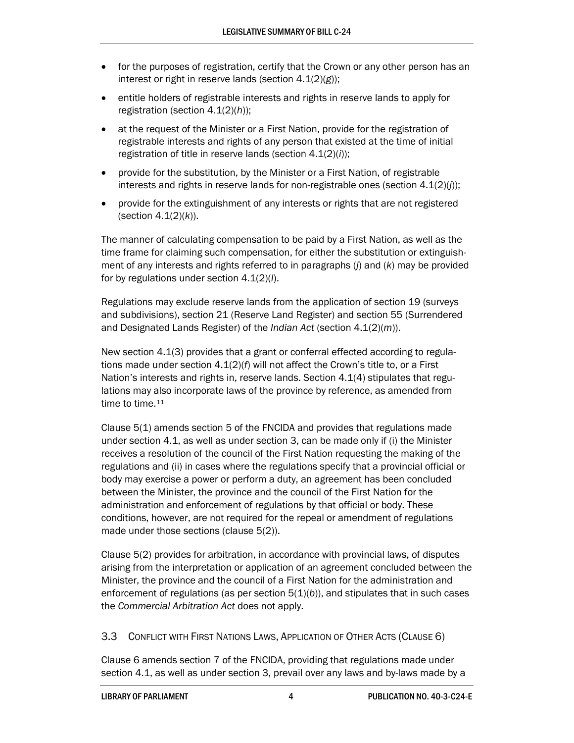- for the purposes of registration, certify that the Crown or any other person has an interest or right in reserve lands (section 4.1(2)(*g*));
- entitle holders of registrable interests and rights in reserve lands to apply for registration (section 4.1(2)(*h*));
- at the request of the Minister or a First Nation, provide for the registration of registrable interests and rights of any person that existed at the time of initial registration of title in reserve lands (section 4.1(2)(*i*));
- provide for the substitution, by the Minister or a First Nation, of registrable interests and rights in reserve lands for non-registrable ones (section 4.1(2)(*j*));
- provide for the extinguishment of any interests or rights that are not registered (section 4.1(2)(*k*)).

The manner of calculating compensation to be paid by a First Nation, as well as the time frame for claiming such compensation, for either the substitution or extinguishment of any interests and rights referred to in paragraphs (*j*) and (*k*) may be provided for by regulations under section 4.1(2)(*l*).

Regulations may exclude reserve lands from the application of section 19 (surveys and subdivisions), section 21 (Reserve Land Register) and section 55 (Surrendered and Designated Lands Register) of the *Indian Act* (section 4.1(2)(*m*)).

New section 4.1(3) provides that a grant or conferral effected according to regulations made under section 4.1(2)(*f*) will not affect the Crown's title to, or a First Nation's interests and rights in, reserve lands. Section 4.1(4) stipulates that regulations may also incorporate laws of the province by reference, as amended from time to time.<sup>[11](#page-9-10)</sup>

Clause 5(1) amends section 5 of the FNCIDA and provides that regulations made under section 4.1, as well as under section 3, can be made only if (i) the Minister receives a resolution of the council of the First Nation requesting the making of the regulations and (ii) in cases where the regulations specify that a provincial official or body may exercise a power or perform a duty, an agreement has been concluded between the Minister, the province and the council of the First Nation for the administration and enforcement of regulations by that official or body. These conditions, however, are not required for the repeal or amendment of regulations made under those sections (clause 5(2)).

Clause 5(2) provides for arbitration, in accordance with provincial laws, of disputes arising from the interpretation or application of an agreement concluded between the Minister, the province and the council of a First Nation for the administration and enforcement of regulations (as per section  $5(1)(b)$ ), and stipulates that in such cases the *Commercial Arbitration Act* does not apply.

#### 3.3 CONFLICT WITH FIRST NATIONS LAWS, APPLICATION OF OTHER ACTS (CLAUSE 6)

Clause 6 amends section 7 of the FNCIDA, providing that regulations made under section 4.1, as well as under section 3, prevail over any laws and by-laws made by a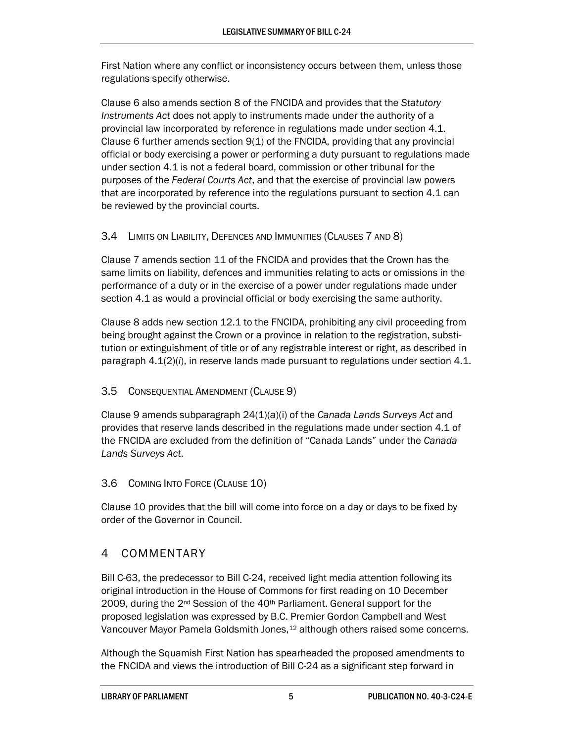First Nation where any conflict or inconsistency occurs between them, unless those regulations specify otherwise.

Clause 6 also amends section 8 of the FNCIDA and provides that the *Statutory Instruments Act* does not apply to instruments made under the authority of a provincial law incorporated by reference in regulations made under section 4.1. Clause 6 further amends section 9(1) of the FNCIDA, providing that any provincial official or body exercising a power or performing a duty pursuant to regulations made under section 4.1 is not a federal board, commission or other tribunal for the purposes of the *Federal Courts Act*, and that the exercise of provincial law powers that are incorporated by reference into the regulations pursuant to section 4.1 can be reviewed by the provincial courts.

#### 3.4 LIMITS ON LIABILITY, DEFENCES AND IMMUNITIES (CLAUSES 7 AND 8)

Clause 7 amends section 11 of the FNCIDA and provides that the Crown has the same limits on liability, defences and immunities relating to acts or omissions in the performance of a duty or in the exercise of a power under regulations made under section 4.1 as would a provincial official or body exercising the same authority.

Clause 8 adds new section 12.1 to the FNCIDA, prohibiting any civil proceeding from being brought against the Crown or a province in relation to the registration, substitution or extinguishment of title or of any registrable interest or right, as described in paragraph 4.1(2)(*i*), in reserve lands made pursuant to regulations under section 4.1.

#### 3.5 CONSEQUENTIAL AMENDMENT (CLAUSE 9)

Clause 9 amends subparagraph 24(1)(*a*)(i) of the *Canada Lands Surveys Act* and provides that reserve lands described in the regulations made under section 4.1 of the FNCIDA are excluded from the definition of "Canada Lands" under the *Canada Lands Surveys Act*.

#### 3.6 COMING INTO FORCE (CLAUSE 10)

Clause 10 provides that the bill will come into force on a day or days to be fixed by order of the Governor in Council.

## 4 COMMENTARY

Bill C-63, the predecessor to Bill C-24, received light media attention following its original introduction in the House of Commons for first reading on 10 December 2009, during the 2<sup>nd</sup> Session of the 40<sup>th</sup> Parliament. General support for the proposed legislation was expressed by B.C. Premier Gordon Campbell and West Vancouver Mayor Pamela Goldsmith Jones,<sup>[12](#page-9-11)</sup> although others raised some concerns.

Although the Squamish First Nation has spearheaded the proposed amendments to the FNCIDA and views the introduction of Bill C-24 as a significant step forward in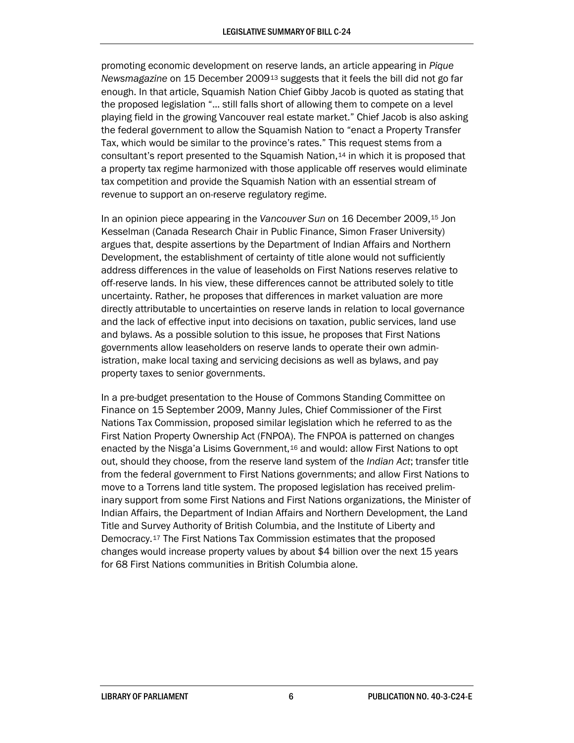promoting economic development on reserve lands, an article appearing in *Pique Newsmagazine* on 15 December 2009[13](#page-9-12) suggests that it feels the bill did not go far enough. In that article, Squamish Nation Chief Gibby Jacob is quoted as stating that the proposed legislation "... still falls short of allowing them to compete on a level playing field in the growing Vancouver real estate market." Chief Jacob is also asking the federal government to allow the Squamish Nation to "enact a Property Transfer Tax, which would be similar to the province's rates." This request stems from a consultant's report presented to the Squamish Nation,<sup>[14](#page-9-13)</sup> in which it is proposed that a property tax regime harmonized with those applicable off reserves would eliminate tax competition and provide the Squamish Nation with an essential stream of revenue to support an on-reserve regulatory regime.

In an opinion piece appearing in the *Vancouver Sun* on 16 December 2009, [15](#page-9-14) Jon Kesselman (Canada Research Chair in Public Finance, Simon Fraser University) argues that, despite assertions by the Department of Indian Affairs and Northern Development, the establishment of certainty of title alone would not sufficiently address differences in the value of leaseholds on First Nations reserves relative to off-reserve lands. In his view, these differences cannot be attributed solely to title uncertainty. Rather, he proposes that differences in market valuation are more directly attributable to uncertainties on reserve lands in relation to local governance and the lack of effective input into decisions on taxation, public services, land use and bylaws. As a possible solution to this issue, he proposes that First Nations governments allow leaseholders on reserve lands to operate their own administration, make local taxing and servicing decisions as well as bylaws, and pay property taxes to senior governments.

In a pre-budget presentation to the House of Commons Standing Committee on Finance on 15 September 2009, Manny Jules, Chief Commissioner of the First Nations Tax Commission, proposed similar legislation which he referred to as the First Nation Property Ownership Act (FNPOA). The FNPOA is patterned on changes enacted by the Nisga'a Lisims Government, [16](#page-9-15) and would: allow First Nations to opt out, should they choose, from the reserve land system of the *Indian Act*; transfer title from the federal government to First Nations governments; and allow First Nations to move to a Torrens land title system. The proposed legislation has received preliminary support from some First Nations and First Nations organizations, the Minister of Indian Affairs, the Department of Indian Affairs and Northern Development, the Land Title and Survey Authority of British Columbia, and the Institute of Liberty and Democracy.[17](#page-9-16) The First Nations Tax Commission estimates that the proposed changes would increase property values by about \$4 billion over the next 15 years for 68 First Nations communities in British Columbia alone.